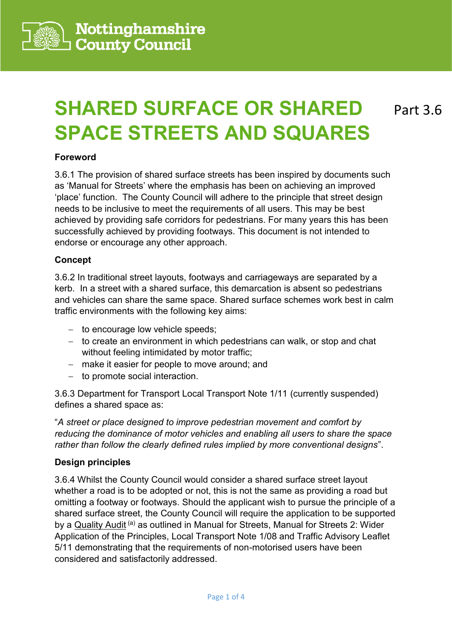

# **SHARED SURFACE OR SHARED SPACE STREETS AND SQUARES**

Part 3.6

#### **Foreword**

3.6.1 The provision of shared surface streets has been inspired by documents such as 'Manual for Streets' where the emphasis has been on achieving an improved 'place' function. The County Council will adhere to the principle that street design needs to be inclusive to meet the requirements of all users. This may be best achieved by providing safe corridors for pedestrians. For many years this has been successfully achieved by providing footways. This document is not intended to endorse or encourage any other approach.

## **Concept**

3.6.2 In traditional street layouts, footways and carriageways are separated by a kerb. In a street with a shared surface, this demarcation is absent so pedestrians and vehicles can share the same space. Shared surface schemes work best in calm traffic environments with the following key aims:

- − to encourage low vehicle speeds;
- − to create an environment in which pedestrians can walk, or stop and chat without feeling intimidated by motor traffic;
- − make it easier for people to move around; and
- − to promote social interaction.

3.6.3 Department for Transport Local Transport Note 1/11 (currently suspended) defines a shared space as:

"*A street or place designed to improve pedestrian movement and comfort by reducing the dominance of motor vehicles and enabling all users to share the space rather than follow the clearly defined rules implied by more conventional designs*".

#### **Design principles**

3.6.4 Whilst the County Council would consider a shared surface street layout whether a road is to be adopted or not, this is not the same as providing a road but omitting a footway or footways. Should the applicant wish to pursue the principle of a shared surface street, the County Council will require the application to be supported by a Quality Audit<sup>(a)</sup> as outlined in Manual for Streets, Manual for Streets 2: Wider Application of the Principles, Local Transport Note 1/08 and Traffic Advisory Leaflet 5/11 demonstrating that the requirements of non-motorised users have been considered and satisfactorily addressed.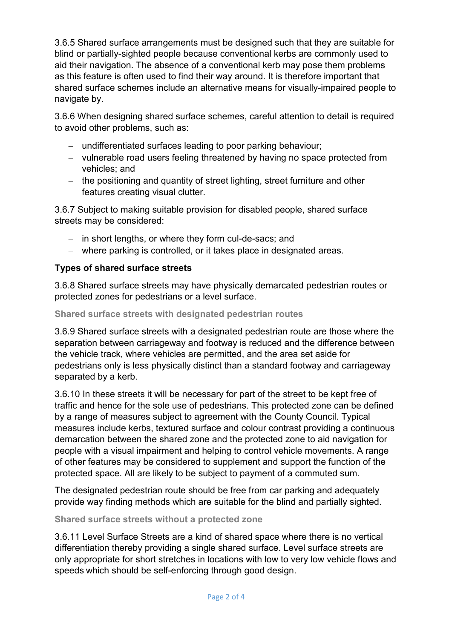3.6.5 Shared surface arrangements must be designed such that they are suitable for blind or partially-sighted people because conventional kerbs are commonly used to aid their navigation. The absence of a conventional kerb may pose them problems as this feature is often used to find their way around. It is therefore important that shared surface schemes include an alternative means for visually-impaired people to navigate by.

3.6.6 When designing shared surface schemes, careful attention to detail is required to avoid other problems, such as:

- − undifferentiated surfaces leading to poor parking behaviour;
- − vulnerable road users feeling threatened by having no space protected from vehicles; and
- − the positioning and quantity of street lighting, street furniture and other features creating visual clutter.

3.6.7 Subject to making suitable provision for disabled people, shared surface streets may be considered:

- − in short lengths, or where they form cul-de-sacs; and
- − where parking is controlled, or it takes place in designated areas.

# **Types of shared surface streets**

3.6.8 Shared surface streets may have physically demarcated pedestrian routes or protected zones for pedestrians or a level surface.

## **Shared surface streets with designated pedestrian routes**

3.6.9 Shared surface streets with a designated pedestrian route are those where the separation between carriageway and footway is reduced and the difference between the vehicle track, where vehicles are permitted, and the area set aside for pedestrians only is less physically distinct than a standard footway and carriageway separated by a kerb.

3.6.10 In these streets it will be necessary for part of the street to be kept free of traffic and hence for the sole use of pedestrians. This protected zone can be defined by a range of measures subject to agreement with the County Council. Typical measures include kerbs, textured surface and colour contrast providing a continuous demarcation between the shared zone and the protected zone to aid navigation for people with a visual impairment and helping to control vehicle movements. A range of other features may be considered to supplement and support the function of the protected space. All are likely to be subject to payment of a commuted sum.

The designated pedestrian route should be free from car parking and adequately provide way finding methods which are suitable for the blind and partially sighted.

#### **Shared surface streets without a protected zone**

3.6.11 Level Surface Streets are a kind of shared space where there is no vertical differentiation thereby providing a single shared surface. Level surface streets are only appropriate for short stretches in locations with low to very low vehicle flows and speeds which should be self-enforcing through good design.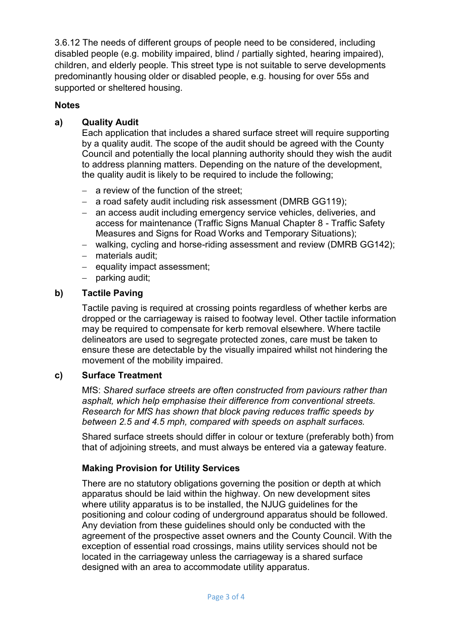3.6.12 The needs of different groups of people need to be considered, including disabled people (e.g. mobility impaired, blind / partially sighted, hearing impaired), children, and elderly people. This street type is not suitable to serve developments predominantly housing older or disabled people, e.g. housing for over 55s and supported or sheltered housing.

# **Notes**

# **a) Quality Audit**

Each application that includes a shared surface street will require supporting by a quality audit. The scope of the audit should be agreed with the County Council and potentially the local planning authority should they wish the audit to address planning matters. Depending on the nature of the development, the quality audit is likely to be required to include the following;

- − a review of the function of the street;
- − a road safety audit including risk assessment (DMRB GG119);
- − an access audit including emergency service vehicles, deliveries, and access for maintenance (Traffic Signs Manual Chapter 8 - Traffic Safety Measures and Signs for Road Works and Temporary Situations);
- − walking, cycling and horse-riding assessment and review (DMRB GG142);
- − materials audit;
- − equality impact assessment;
- − parking audit;

## **b) Tactile Paving**

Tactile paving is required at crossing points regardless of whether kerbs are dropped or the carriageway is raised to footway level. Other tactile information may be required to compensate for kerb removal elsewhere. Where tactile delineators are used to segregate protected zones, care must be taken to ensure these are detectable by the visually impaired whilst not hindering the movement of the mobility impaired.

#### **c) Surface Treatment**

MfS: *Shared surface streets are often constructed from paviours rather than asphalt, which help emphasise their difference from conventional streets. Research for MfS has shown that block paving reduces traffic speeds by between 2.5 and 4.5 mph, compared with speeds on asphalt surfaces.*

Shared surface streets should differ in colour or texture (preferably both) from that of adjoining streets, and must always be entered via a gateway feature.

# **Making Provision for [Utility Services](file://///nccadmin/nccdata/Highways/Old%20N%20Drive/Transportation/TransportStrategy/Transport%20Planning%20And%20Development%20Control/DC%20(Highways)/Common%20Area/Library/Draft%20Design%20Guidance/Utilities.docx)**

There are no statutory obligations governing the position or depth at which apparatus should be laid within the highway. On new development sites where utility apparatus is to be installed, the NJUG guidelines for the positioning and colour coding of underground apparatus should be followed. Any deviation from these guidelines should only be conducted with the agreement of the prospective asset owners and the County Council. With the exception of essential road crossings, mains utility services should not be located in the carriageway unless the carriageway is a shared surface designed with an area to accommodate utility apparatus.